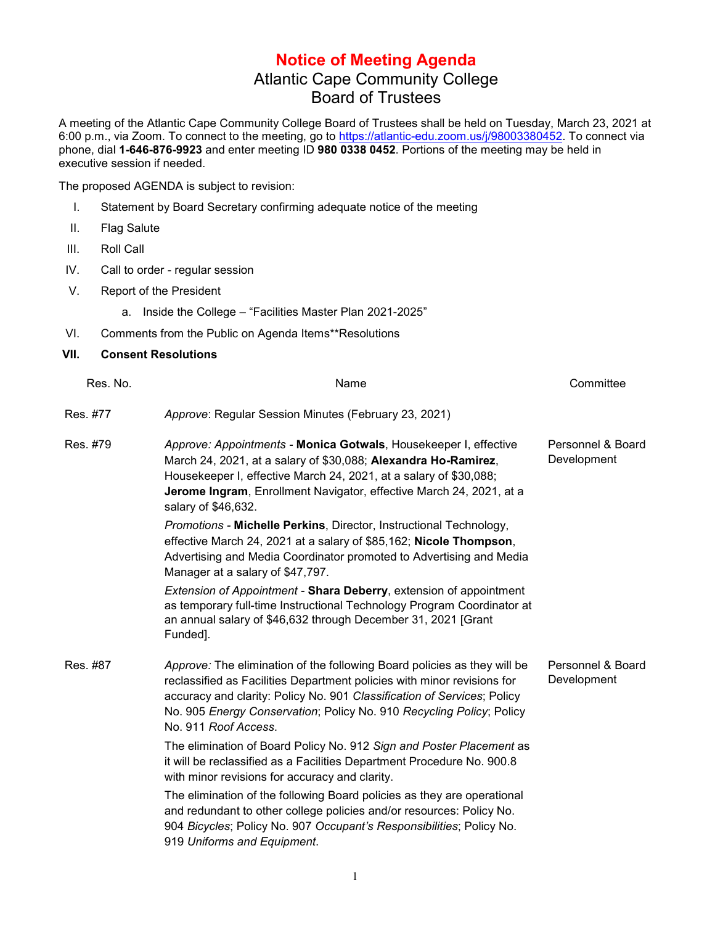## **Notice of Meeting Agenda** Atlantic Cape Community College Board of Trustees

A meeting of the Atlantic Cape Community College Board of Trustees shall be held on Tuesday, March 23, 2021 at 6:00 p.m., via Zoom. To connect to the meeting, go to [https://atlantic-edu.zoom.us/j/98003380452.](https://atlantic-edu.zoom.us/j/98003380452) To connect via phone, dial **1-646-876-9923** and enter meeting ID **980 0338 0452**. Portions of the meeting may be held in executive session if needed.

The proposed AGENDA is subject to revision:

- I. Statement by Board Secretary confirming adequate notice of the meeting
- II. Flag Salute
- III. Roll Call
- IV. Call to order regular session
- V. Report of the President

a. Inside the College – "Facilities Master Plan 2021-2025"

VI. Comments from the Public on Agenda Items\*\*Resolutions

## **VII. Consent Resolutions**

| Res. No. | Name                                                                                                                                                                                                                                                                                                                           | Committee                        |
|----------|--------------------------------------------------------------------------------------------------------------------------------------------------------------------------------------------------------------------------------------------------------------------------------------------------------------------------------|----------------------------------|
| Res. #77 | Approve: Regular Session Minutes (February 23, 2021)                                                                                                                                                                                                                                                                           |                                  |
| Res. #79 | Approve: Appointments - Monica Gotwals, Housekeeper I, effective<br>March 24, 2021, at a salary of \$30,088; Alexandra Ho-Ramirez,<br>Housekeeper I, effective March 24, 2021, at a salary of \$30,088;<br>Jerome Ingram, Enrollment Navigator, effective March 24, 2021, at a<br>salary of \$46,632.                          | Personnel & Board<br>Development |
|          | Promotions - Michelle Perkins, Director, Instructional Technology,<br>effective March 24, 2021 at a salary of \$85,162; Nicole Thompson,<br>Advertising and Media Coordinator promoted to Advertising and Media<br>Manager at a salary of \$47,797.                                                                            |                                  |
|          | Extension of Appointment - Shara Deberry, extension of appointment<br>as temporary full-time Instructional Technology Program Coordinator at<br>an annual salary of \$46,632 through December 31, 2021 [Grant<br>Funded].                                                                                                      |                                  |
| Res. #87 | Approve: The elimination of the following Board policies as they will be<br>reclassified as Facilities Department policies with minor revisions for<br>accuracy and clarity: Policy No. 901 Classification of Services; Policy<br>No. 905 Energy Conservation; Policy No. 910 Recycling Policy; Policy<br>No. 911 Roof Access. | Personnel & Board<br>Development |
|          | The elimination of Board Policy No. 912 Sign and Poster Placement as<br>it will be reclassified as a Facilities Department Procedure No. 900.8<br>with minor revisions for accuracy and clarity.                                                                                                                               |                                  |
|          | The elimination of the following Board policies as they are operational<br>and redundant to other college policies and/or resources: Policy No.<br>904 Bicycles; Policy No. 907 Occupant's Responsibilities; Policy No.<br>919 Uniforms and Equipment.                                                                         |                                  |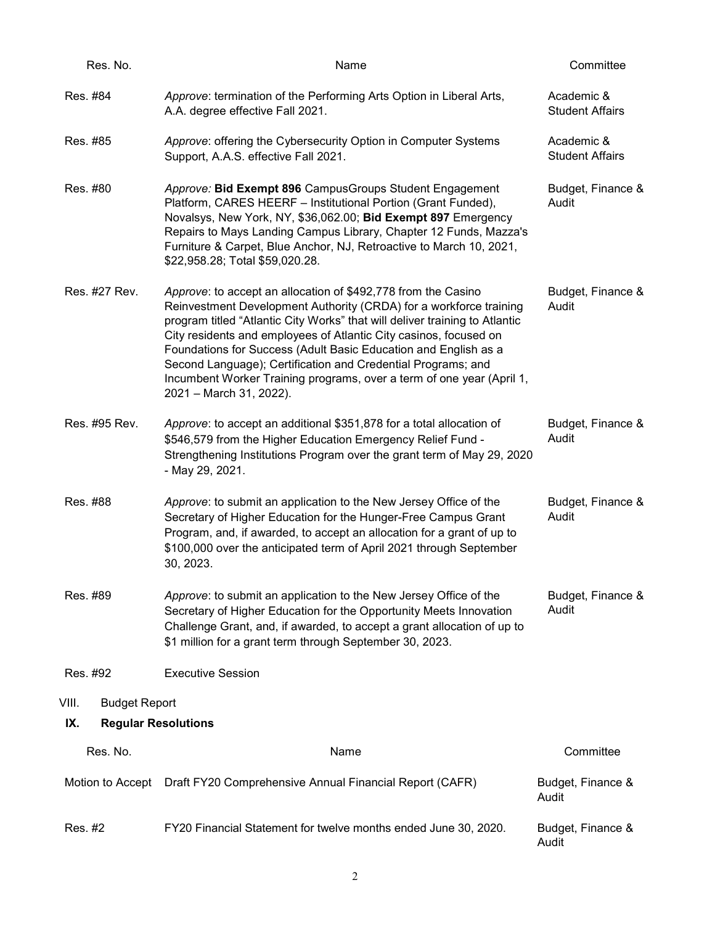| Res. No.                          | Name                                                                                                                                                                                                                                                                                                                                                                                                                                                                                                                           | Committee                            |
|-----------------------------------|--------------------------------------------------------------------------------------------------------------------------------------------------------------------------------------------------------------------------------------------------------------------------------------------------------------------------------------------------------------------------------------------------------------------------------------------------------------------------------------------------------------------------------|--------------------------------------|
| Res. #84                          | Approve: termination of the Performing Arts Option in Liberal Arts,<br>A.A. degree effective Fall 2021.                                                                                                                                                                                                                                                                                                                                                                                                                        | Academic &<br><b>Student Affairs</b> |
| Res. #85                          | Approve: offering the Cybersecurity Option in Computer Systems<br>Support, A.A.S. effective Fall 2021.                                                                                                                                                                                                                                                                                                                                                                                                                         | Academic &<br><b>Student Affairs</b> |
| Res. #80                          | Approve: Bid Exempt 896 CampusGroups Student Engagement<br>Platform, CARES HEERF - Institutional Portion (Grant Funded),<br>Novalsys, New York, NY, \$36,062.00; Bid Exempt 897 Emergency<br>Repairs to Mays Landing Campus Library, Chapter 12 Funds, Mazza's<br>Furniture & Carpet, Blue Anchor, NJ, Retroactive to March 10, 2021,<br>\$22,958.28; Total \$59,020.28.                                                                                                                                                       | Budget, Finance &<br>Audit           |
| Res. #27 Rev.                     | Approve: to accept an allocation of \$492,778 from the Casino<br>Reinvestment Development Authority (CRDA) for a workforce training<br>program titled "Atlantic City Works" that will deliver training to Atlantic<br>City residents and employees of Atlantic City casinos, focused on<br>Foundations for Success (Adult Basic Education and English as a<br>Second Language); Certification and Credential Programs; and<br>Incumbent Worker Training programs, over a term of one year (April 1,<br>2021 - March 31, 2022). | Budget, Finance &<br>Audit           |
| Res. #95 Rev.                     | Approve: to accept an additional \$351,878 for a total allocation of<br>\$546,579 from the Higher Education Emergency Relief Fund -<br>Strengthening Institutions Program over the grant term of May 29, 2020<br>- May 29, 2021.                                                                                                                                                                                                                                                                                               | Budget, Finance &<br>Audit           |
| Res. #88                          | Approve: to submit an application to the New Jersey Office of the<br>Secretary of Higher Education for the Hunger-Free Campus Grant<br>Program, and, if awarded, to accept an allocation for a grant of up to<br>\$100,000 over the anticipated term of April 2021 through September<br>30, 2023.                                                                                                                                                                                                                              | Budget, Finance &<br>Audit           |
| Res. #89                          | Approve: to submit an application to the New Jersey Office of the<br>Secretary of Higher Education for the Opportunity Meets Innovation<br>Challenge Grant, and, if awarded, to accept a grant allocation of up to<br>\$1 million for a grant term through September 30, 2023.                                                                                                                                                                                                                                                 | Budget, Finance &<br>Audit           |
| Res. #92                          | <b>Executive Session</b>                                                                                                                                                                                                                                                                                                                                                                                                                                                                                                       |                                      |
| <b>Budget Report</b><br>VIII.     |                                                                                                                                                                                                                                                                                                                                                                                                                                                                                                                                |                                      |
| IX.<br><b>Regular Resolutions</b> |                                                                                                                                                                                                                                                                                                                                                                                                                                                                                                                                |                                      |
| Res. No.                          | Name                                                                                                                                                                                                                                                                                                                                                                                                                                                                                                                           | Committee                            |
| Motion to Accept                  | Draft FY20 Comprehensive Annual Financial Report (CAFR)                                                                                                                                                                                                                                                                                                                                                                                                                                                                        | Budget, Finance &<br>Audit           |
| Res. #2                           | FY20 Financial Statement for twelve months ended June 30, 2020.                                                                                                                                                                                                                                                                                                                                                                                                                                                                | Budget, Finance &<br>Audit           |